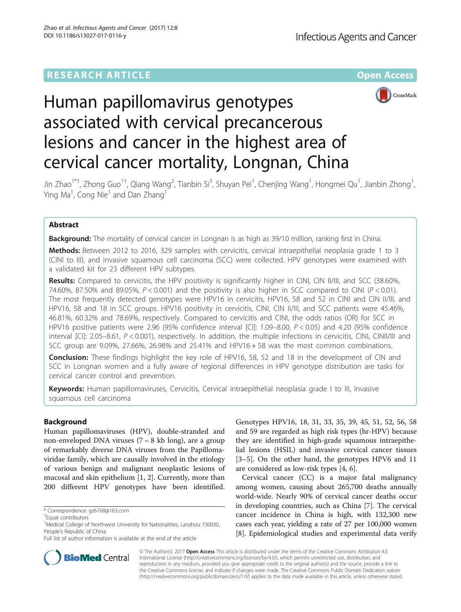## **RESEARCH ARTICLE Example 2014 12:30 The Contract of Contract ACCESS**



# Human papillomavirus genotypes associated with cervical precancerous lesions and cancer in the highest area of cervical cancer mortality, Longnan, China

Jin Zhao<sup>1\*†</sup>, Zhong Guo<sup>1†</sup>, Qiang Wang<sup>2</sup>, Tianbin Si<sup>3</sup>, Shuyan Pei<sup>1</sup>, Chenjing Wang<sup>1</sup>, Hongmei Qu<sup>1</sup>, Jianbin Zhong<sup>1</sup> , Ying Ma<sup>1</sup>, Cong Nie<sup>1</sup> and Dan Zhang<sup>1</sup>

## Abstract

Background: The mortality of cervical cancer in Longnan is as high as 39/10 million, ranking first in China. Methods: Between 2012 to 2016, 329 samples with cervicitis, cervical intraepithelial neoplasia grade 1 to 3 (CINI to III), and invasive squamous cell carcinoma (SCC) were collected. HPV genotypes were examined with a validated kit for 23 different HPV subtypes.

Results: Compared to cervicitis, the HPV positivity is significantly higher in CINI, CIN II/III, and SCC (38.60%, 74.60%, 87.50% and 89.05%,  $P < 0.001$ ) and the positivity is also higher in SCC compared to CINI ( $P < 0.01$ ). The most frequently detected genotypes were HPV16 in cervicitis, HPV16, 58 and 52 in CINI and CIN II/III, and HPV16, 58 and 18 in SCC groups. HPV16 positivity in cervicitis, CINI, CIN II/III, and SCC patients were 45.46%, 46.81%, 60.32% and 78.69%, respectively. Compared to cervicitis and CINI, the odds ratios (OR) for SCC in HPV16 positive patients were 2.96 (95% confidence interval [CI]: 1.09–8.00, P < 0.05) and 4.20 (95% confidence interval [CI]: 2.05–8.61, P < 0.001), respectively. In addition, the multiple infections in cervicitis, CINI, CINII/III and SCC group are 9.09%, 27.66%, 26.98% and 25.41% and HPV16 + 58 was the most common combinations.

Conclusion: These findings highlight the key role of HPV16, 58, 52 and 18 in the development of CIN and SCC in Longnan women and a fully aware of regional differences in HPV genotype distribution are tasks for cervical cancer control and prevention.

Keywords: Human papillomaviruses, Cervicitis, Cervical intraepithelial neoplasia grade I to III, Invasive squamous cell carcinoma

## Background

Human papillomaviruses (HPV), double-stranded and non-enveloped DNA viruses  $(7 \sim 8 \text{ kb long})$ , are a group of remarkably diverse DNA viruses from the Papillomaviridae family, which are causally involved in the etiology of various benign and malignant neoplastic lesions of mucosal and skin epithelium [[1](#page-5-0), [2](#page-5-0)]. Currently, more than 200 different HPV genotypes have been identified.

Genotypes HPV16, 18, 31, 33, 35, 39, 45, 51, 52, 56, 58 and 59 are regarded as high risk types (hr-HPV) because they are identified in high-grade squamous intraepithelial lesions (HSIL) and invasive cervical cancer tissues [[3](#page-5-0)–[5\]](#page-5-0). On the other hand, the genotypes HPV6 and 11 are considered as low-risk types [[4, 6\]](#page-5-0).

Cervical cancer (CC) is a major fatal malignancy among women, causing about 265,700 deaths annually world-wide. Nearly 90% of cervical cancer deaths occur in developing countries, such as China [[7](#page-5-0)]. The cervical cancer incidence in China is high, with 132,300 new cases each year, yielding a rate of 27 per 100,000 women [[8\]](#page-5-0). Epidemiological studies and experimental data verify



© The Author(s). 2017 **Open Access** This article is distributed under the terms of the Creative Commons Attribution 4.0 International License [\(http://creativecommons.org/licenses/by/4.0/](http://creativecommons.org/licenses/by/4.0/)), which permits unrestricted use, distribution, and reproduction in any medium, provided you give appropriate credit to the original author(s) and the source, provide a link to the Creative Commons license, and indicate if changes were made. The Creative Commons Public Domain Dedication waiver [\(http://creativecommons.org/publicdomain/zero/1.0/](http://creativecommons.org/publicdomain/zero/1.0/)) applies to the data made available in this article, unless otherwise stated.

<sup>\*</sup> Correspondence: [gz6768@163.com](mailto:gz6768@163.com) †

Equal contributors

<sup>&</sup>lt;sup>1</sup>Medical College of Northwest University for Nationalities, Lanzhou 730030, People's Republic of China

Full list of author information is available at the end of the article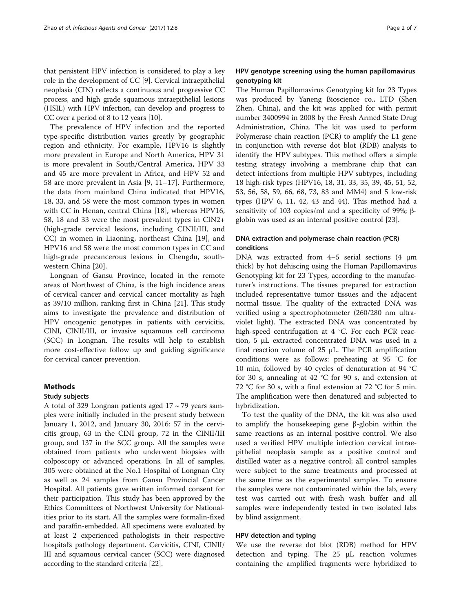that persistent HPV infection is considered to play a key role in the development of CC [[9](#page-5-0)]. Cervical intraepithelial neoplasia (CIN) reflects a continuous and progressive CC process, and high grade squamous intraepithelial lesions (HSIL) with HPV infection, can develop and progress to CC over a period of 8 to 12 years [[10](#page-5-0)].

The prevalence of HPV infection and the reported type-specific distribution varies greatly by geographic region and ethnicity. For example, HPV16 is slightly more prevalent in Europe and North America, HPV 31 is more prevalent in South/Central America, HPV 33 and 45 are more prevalent in Africa, and HPV 52 and 58 are more prevalent in Asia [[9, 11](#page-5-0)–[17](#page-5-0)]. Furthermore, the data from mainland China indicated that HPV16, 18, 33, and 58 were the most common types in women with CC in Henan, central China [[18\]](#page-5-0), whereas HPV16, 58, 18 and 33 were the most prevalent types in CIN2+ (high-grade cervical lesions, including CINII/III, and CC) in women in Liaoning, northeast China [[19\]](#page-5-0), and HPV16 and 58 were the most common types in CC and high-grade precancerous lesions in Chengdu, southwestern China [[20\]](#page-6-0).

Longnan of Gansu Province, located in the remote areas of Northwest of China, is the high incidence areas of cervical cancer and cervical cancer mortality as high as 39/10 million, ranking first in China [\[21\]](#page-6-0). This study aims to investigate the prevalence and distribution of HPV oncogenic genotypes in patients with cervicitis, CINI, CINII/III, or invasive squamous cell carcinoma (SCC) in Longnan. The results will help to establish more cost-effective follow up and guiding significance for cervical cancer prevention.

## Methods

## Study subjects

A total of 329 Longnan patients aged  $17 \sim 79$  years samples were initially included in the present study between January 1, 2012, and January 30, 2016: 57 in the cervicitis group, 63 in the CINI group, 72 in the CINII/III group, and 137 in the SCC group. All the samples were obtained from patients who underwent biopsies with colposcopy or advanced operations. In all of samples, 305 were obtained at the No.1 Hospital of Longnan City as well as 24 samples from Gansu Provincial Cancer Hospital. All patients gave written informed consent for their participation. This study has been approved by the Ethics Committees of Northwest University for Nationalities prior to its start. All the samples were formalin-fixed and paraffin-embedded. All specimens were evaluated by at least 2 experienced pathologists in their respective hospital's pathology department. Cervicitis, CINI, CINII/ III and squamous cervical cancer (SCC) were diagnosed according to the standard criteria [\[22](#page-6-0)].

## HPV genotype screening using the human papillomavirus genotyping kit

The Human Papillomavirus Genotyping kit for 23 Types was produced by Yaneng Bioscience co., LTD (Shen Zhen, China), and the kit was applied for with permit number 3400994 in 2008 by the Fresh Armed State Drug Administration, China. The kit was used to perform Polymerase chain reaction (PCR) to amplify the L1 gene in conjunction with reverse dot blot (RDB) analysis to identify the HPV subtypes. This method offers a simple testing strategy involving a membrane chip that can detect infections from multiple HPV subtypes, including 18 high-risk types (HPV16, 18, 31, 33, 35, 39, 45, 51, 52, 53, 56, 58, 59, 66, 68, 73, 83 and MM4) and 5 low-risk types (HPV 6, 11, 42, 43 and 44). This method had a sensitivity of 103 copies/ml and a specificity of 99%; βglobin was used as an internal positive control [\[23](#page-6-0)].

## DNA extraction and polymerase chain reaction (PCR) conditions

DNA was extracted from 4–5 serial sections (4 μm thick) by hot dehiscing using the Human Papillomavirus Genotyping kit for 23 Types, according to the manufacturer's instructions. The tissues prepared for extraction included representative tumor tissues and the adjacent normal tissue. The quality of the extracted DNA was verified using a spectrophotometer (260/280 nm ultraviolet light). The extracted DNA was concentrated by high-speed centrifugation at 4 °C. For each PCR reaction, 5 μL extracted concentrated DNA was used in a final reaction volume of 25 μL. The PCR amplification conditions were as follows: preheating at 95 °C for 10 min, followed by 40 cycles of denaturation at 94 °C for 30 s, annealing at 42 °C for 90 s, and extension at 72 °C for 30 s, with a final extension at 72 °C for 5 min. The amplification were then denatured and subjected to hybridization.

To test the quality of the DNA, the kit was also used to amplify the housekeeping gene β-globin within the same reactions as an internal positive control. We also used a verified HPV multiple infection cervical intraepithelial neoplasia sample as a positive control and distilled water as a negative control; all control samples were subject to the same treatments and processed at the same time as the experimental samples. To ensure the samples were not contaminated within the lab, every test was carried out with fresh wash buffer and all samples were independently tested in two isolated labs by blind assignment.

## HPV detection and typing

We use the reverse dot blot (RDB) method for HPV detection and typing. The 25 μL reaction volumes containing the amplified fragments were hybridized to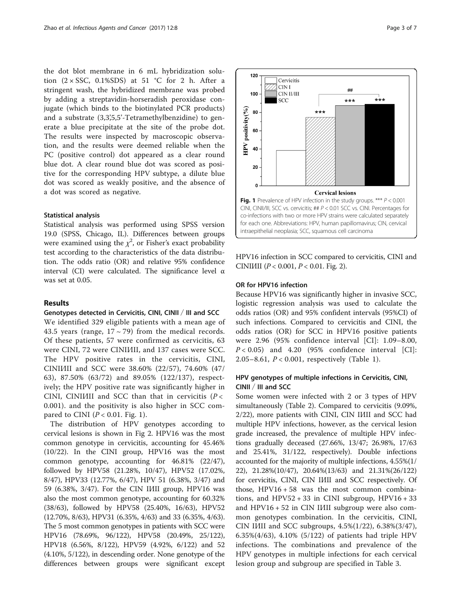the dot blot membrane in 6 mL hybridization solution  $(2 \times SSC, 0.1\% SDS)$  at 51 °C for 2 h. After a stringent wash, the hybridized membrane was probed by adding a streptavidin-horseradish peroxidase conjugate (which binds to the biotinylated PCR products) and a substrate  $(3,3,5,5)$ -Tetramethylbenzidine) to generate a blue precipitate at the site of the probe dot. The results were inspected by macroscopic observation, and the results were deemed reliable when the PC (positive control) dot appeared as a clear round blue dot. A clear round blue dot was scored as positive for the corresponding HPV subtype, a dilute blue dot was scored as weakly positive, and the absence of a dot was scored as negative.

## Statistical analysis

Statistical analysis was performed using SPSS version 19.0 (SPSS, Chicago, IL). Differences between groups were examined using the  $\chi^2$ , or Fisher's exact probability test according to the characteristics of the data distribution. The odds ratio (OR) and relative 95% confidence interval (CI) were calculated. The significance level  $\alpha$ was set at 0.05.

## Results

## Genotypes detected in Cervicitis, CINI, CINII / III and SCC

We identified 329 eligible patients with a mean age of 43.5 years (range,  $17 \sim 79$ ) from the medical records. Of these patients, 57 were confirmed as cervicitis, 63 were CINI, 72 were CINII/II, and 137 cases were SCC. The HPV positive rates in the cervicitis, CINI, CINII∕III and SCC were 38.60% (22/57), 74.60% (47/ 63), 87.50% (63/72) and 89.05% (122/137), respectively; the HPV positive rate was significantly higher in CINI, CINI $M$ II and SCC than that in cervicitis ( $P <$ 0.001). and the positivity is also higher in SCC compared to CINI ( $P < 0.01$ . Fig. 1).

The distribution of HPV genotypes according to cervical lesions is shown in Fig [2.](#page-3-0) HPV16 was the most common genotype in cervicitis, accounting for 45.46% (10/22). In the CINI group, HPV16 was the most common genotype, accounting for 46.81% (22/47), followed by HPV58 (21.28%, 10/47), HPV52 (17.02%, 8/47), HPV33 (12.77%, 6/47), HPV 51 (6.38%, 3/47) and 59 (6.38%, 3/47). For the CIN II∕III group, HPV16 was also the most common genotype, accounting for 60.32% (38/63), followed by HPV58 (25.40%, 16/63), HPV52 (12.70%, 8/63), HPV31 (6.35%, 4/63) and 33 (6.35%, 4/63). The 5 most common genotypes in patients with SCC were HPV16 (78.69%, 96/122), HPV58 (20.49%, 25/122), HPV18 (6.56%, 8/122), HPV59 (4.92%, 6/122) and 52 (4.10%, 5/122), in descending order. None genotype of the differences between groups were significant except



HPV16 infection in SCC compared to cervicitis, CINI and CINIIII ( $P < 0.001$ ,  $P < 0.01$ . Fig. [2](#page-3-0)).

## OR for HPV16 infection

Because HPV16 was significantly higher in invasive SCC, logistic regression analysis was used to calculate the odds ratios (OR) and 95% confident intervals (95%CI) of such infections. Compared to cervicitis and CINI, the odds ratios (OR) for SCC in HPV16 positive patients were 2.96 (95% confidence interval [CI]: 1.09–8.00,  $P < 0.05$ ) and 4.20 (95% confidence interval [CI]: 2.05–8.61, P < 0.001, respectively (Table [1](#page-3-0)).

## HPV genotypes of multiple infections in Cervicitis, CINI, CINII / III and SCC

Some women were infected with 2 or 3 types of HPV simultaneously (Table [2\)](#page-4-0). Compared to cervicitis (9.09%, 2/22), more patients with CINI, CIN IIII and SCC had multiple HPV infections, however, as the cervical lesion grade increased, the prevalence of multiple HPV infections gradually deceased (27.66%, 13/47; 26.98%, 17/63 and 25.41%, 31/122, respectively). Double infections accounted for the majority of multiple infections, 4.55%(1/ 22), 21.28%(10/47), 20.64%(13/63) and 21.31%(26/122) for cervicitis, CINI, CIN IIII and SCC respectively. Of those, HPV16 + 58 was the most common combinations, and  $HPV52 + 33$  in CINI subgroup,  $HPV16 + 33$ and HPV16 + 52 in CIN II⁄III subgroup were also common genotypes combination. In the cervicitis, CINI, CIN IIII and SCC subgroups, 4.5%(1/22), 6.38%(3/47), 6.35%(4/63), 4.10% (5/122) of patients had triple HPV infections. The combinations and prevalence of the HPV genotypes in multiple infections for each cervical lesion group and subgroup are specified in Table [3](#page-4-0).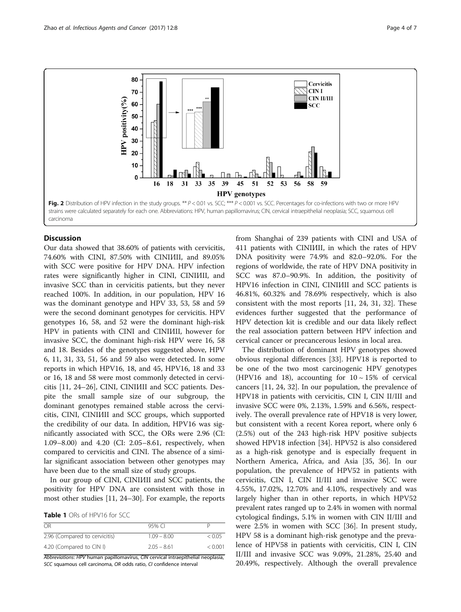<span id="page-3-0"></span>

## **Discussion**

Our data showed that 38.60% of patients with cervicitis, 74.60% with CINI, 87.50% with CINIIII, and 89.05% with SCC were positive for HPV DNA. HPV infection rates were significantly higher in CINI, CINII/III, and invasive SCC than in cervicitis patients, but they never reached 100%. In addition, in our population, HPV 16 was the dominant genotype and HPV 33, 53, 58 and 59 were the second dominant genotypes for cervicitis. HPV genotypes 16, 58, and 52 were the dominant high-risk HPV in patients with CINI and CINIIII, however for invasive SCC, the dominant high-risk HPV were 16, 58 and 18. Besides of the genotypes suggested above, HPV 6, 11, 31, 33, 51, 56 and 59 also were detected. In some reports in which HPV16, 18, and 45, HPV16, 18 and 33 or 16, 18 and 58 were most commonly detected in cervicitis [[11,](#page-5-0) [24](#page-6-0)–[26\]](#page-6-0), CINI, CINII∕III and SCC patients. Despite the small sample size of our subgroup, the dominant genotypes remained stable across the cervicitis, CINI, CINII/III and SCC groups, which supported the credibility of our data. In addition, HPV16 was significantly associated with SCC, the ORs were 2.96 (CI: 1.09–8.00) and 4.20 (CI: 2.05–8.61, respectively, when compared to cervicitis and CINI. The absence of a similar significant association between other genotypes may have been due to the small size of study groups.

In our group of CINI, CINI*III* and SCC patients, the positivity for HPV DNA are consistent with those in most other studies [[11](#page-5-0), [24](#page-6-0)–[30](#page-6-0)]. For example, the reports

Table 1 ORs of HPV16 for SCC

| OR                            | 95% CI        |         |
|-------------------------------|---------------|---------|
| 2.96 (Compared to cervicitis) | $1.09 - 8.00$ | < 0.05  |
| 4.20 (Compared to CIN I)      | $2.05 - 8.61$ | < 0.001 |

Abbreviations: HPV human papillomavirus, CIN cervical intraepithelial neoplasia, SCC squamous cell carcinoma, OR odds ratio, CI confidence interval

from Shanghai of 239 patients with CINI and USA of 411 patients with CINIIII, in which the rates of HPV DNA positivity were 74.9% and 82.0–92.0%. For the regions of worldwide, the rate of HPV DNA positivity in SCC was 87.0–90.9%. In addition, the positivity of HPV16 infection in CINI, CINII∕III and SCC patients is 46.81%, 60.32% and 78.69% respectively, which is also consistent with the most reports [\[11,](#page-5-0) [24, 31](#page-6-0), [32](#page-6-0)]. These evidences further suggested that the performance of HPV detection kit is credible and our data likely reflect the real association pattern between HPV infection and cervical cancer or precancerous lesions in local area.

The distribution of dominant HPV genotypes showed obvious regional differences [\[33](#page-6-0)]. HPV18 is reported to be one of the two most carcinogenic HPV genotypes (HPV16 and 18), accounting for  $10 \sim 15\%$  of cervical cancers [\[11](#page-5-0), [24](#page-6-0), [32](#page-6-0)]. In our population, the prevalence of HPV18 in patients with cervicitis, CIN I, CIN II/III and invasive SCC were 0%, 2.13%, 1.59% and 6.56%, respectively. The overall prevalence rate of HPV18 is very lower, but consistent with a recent Korea report, where only 6 (2.5%) out of the 243 high-risk HPV positive subjects showed HPV18 infection [\[34\]](#page-6-0). HPV52 is also considered as a high-risk genotype and is especially frequent in Northern America, Africa, and Asia [[35](#page-6-0), [36](#page-6-0)]. In our population, the prevalence of HPV52 in patients with cervicitis, CIN I, CIN II/III and invasive SCC were 4.55%, 17.02%, 12.70% and 4.10%, respectively and was largely higher than in other reports, in which HPV52 prevalent rates ranged up to 2.4% in women with normal cytological findings, 5.1% in women with CIN II/III and were 2.5% in women with SCC [\[36\]](#page-6-0). In present study, HPV 58 is a dominant high-risk genotype and the prevalence of HPV58 in patients with cervicitis, CIN I, CIN II/III and invasive SCC was 9.09%, 21.28%, 25.40 and 20.49%, respectively. Although the overall prevalence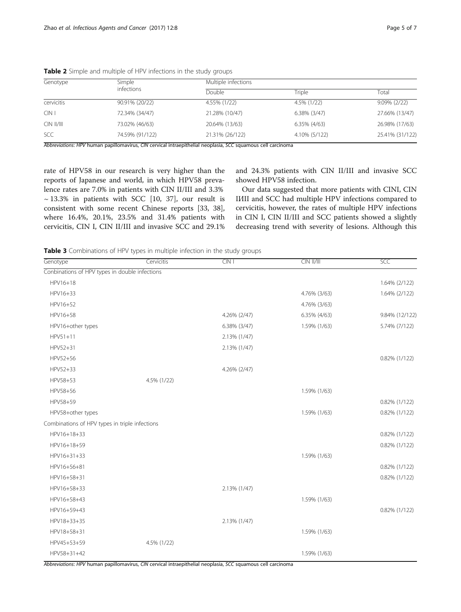| Genotype               | Simple<br>infections | Multiple infections |                 |                 |  |
|------------------------|----------------------|---------------------|-----------------|-----------------|--|
|                        |                      | Double              | Triple          | Total           |  |
| cervicitis             | 90.91% (20/22)       | 4.55% (1/22)        | 4.5% (1/22)     | $9.09\%$ (2/22) |  |
| CIN                    | 72.34% (34/47)       | 21.28% (10/47)      | $6.38\%$ (3/47) | 27.66% (13/47)  |  |
| $C\rightarrow$ $  /  $ | 73.02% (46/63)       | 20.64% (13/63)      | 6.35% (4/63)    | 26.98% (17/63)  |  |
| <b>SCC</b>             | 74.59% (91/122)      | 21.31% (26/122)     | 4.10% (5/122)   | 25.41% (31/122) |  |

<span id="page-4-0"></span>Table 2 Simple and multiple of HPV infections in the study groups

Abbreviations: HPV human papillomavirus, CIN cervical intraepithelial neoplasia, SCC squamous cell carcinoma

rate of HPV58 in our research is very higher than the reports of Japanese and world, in which HPV58 prevalence rates are 7.0% in patients with CIN II/III and 3.3%  $\sim$  13.3% in patients with SCC [[10,](#page-5-0) [37\]](#page-6-0), our result is consistent with some recent Chinese reports [\[33](#page-6-0), [38](#page-6-0)], where 16.4%, 20.1%, 23.5% and 31.4% patients with cervicitis, CIN I, CIN II/III and invasive SCC and 29.1% and 24.3% patients with CIN II/III and invasive SCC showed HPV58 infection.

Our data suggested that more patients with CINI, CIN II⁄III and SCC had multiple HPV infections compared to cervicitis, however, the rates of multiple HPV infections in CIN I, CIN II/III and SCC patients showed a slightly decreasing trend with severity of lesions. Although this

**Table 3** Combinations of HPV types in multiple infection in the study groups

| Conbinations of HPV types in double infections<br>HPV16+18<br>HPV16+33<br>HPV16+52<br>HPV16+58<br>HPV16+other types         |             | 4.26% (2/47) | 4.76% (3/63)<br>4.76% (3/63) | 1.64% (2/122)<br>1.64% (2/122) |
|-----------------------------------------------------------------------------------------------------------------------------|-------------|--------------|------------------------------|--------------------------------|
|                                                                                                                             |             |              |                              |                                |
|                                                                                                                             |             |              |                              |                                |
|                                                                                                                             |             |              |                              |                                |
|                                                                                                                             |             |              |                              |                                |
|                                                                                                                             |             |              | 6.35% (4/63)                 | 9.84% (12/122)                 |
|                                                                                                                             |             | 6.38% (3/47) | 1.59% (1/63)                 | 5.74% (7/122)                  |
| $HPV51+11$                                                                                                                  |             | 2.13% (1/47) |                              |                                |
| HPV52+31                                                                                                                    |             | 2.13% (1/47) |                              |                                |
| HPV52+56                                                                                                                    |             |              |                              | $0.82\%$ (1/122)               |
| HPV52+33                                                                                                                    |             | 4.26% (2/47) |                              |                                |
| HPV58+53                                                                                                                    | 4.5% (1/22) |              |                              |                                |
| HPV58+56                                                                                                                    |             |              | 1.59% (1/63)                 |                                |
| HPV58+59                                                                                                                    |             |              |                              | $0.82\%$ (1/122)               |
| HPV58+other types                                                                                                           |             |              | 1.59% (1/63)                 | 0.82% (1/122)                  |
| Combinations of HPV types in triple infections                                                                              |             |              |                              |                                |
| HPV16+18+33                                                                                                                 |             |              |                              | 0.82% (1/122)                  |
| HPV16+18+59                                                                                                                 |             |              |                              | 0.82% (1/122)                  |
| HPV16+31+33                                                                                                                 |             |              | 1.59% (1/63)                 |                                |
| HPV16+56+81                                                                                                                 |             |              |                              | 0.82% (1/122)                  |
| HPV16+58+31                                                                                                                 |             |              |                              | 0.82% (1/122)                  |
| HPV16+58+33                                                                                                                 |             | 2.13% (1/47) |                              |                                |
| HPV16+58+43                                                                                                                 |             |              | 1.59% (1/63)                 |                                |
| HPV16+59+43                                                                                                                 |             |              |                              | $0.82\%$ (1/122)               |
| HPV18+33+35                                                                                                                 |             | 2.13% (1/47) |                              |                                |
| HPV18+58+31                                                                                                                 |             |              | 1.59% (1/63)                 |                                |
| HPV45+53+59                                                                                                                 | 4.5% (1/22) |              |                              |                                |
| HPV58+31+42<br>Abbreviations: HPV human papillomavirus, CIN cervical intraepithelial neoplasia, SCC squamous cell carcinoma |             |              | 1.59% (1/63)                 |                                |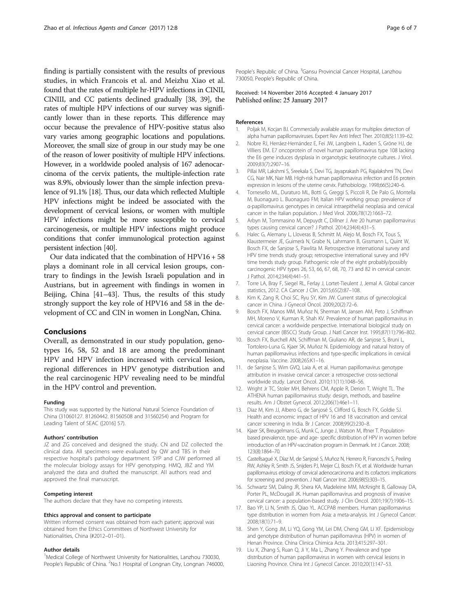<span id="page-5-0"></span>finding is partially consistent with the results of previous studies, in which Francois et al. and Meizhu Xiao et al. found that the rates of multiple hr-HPV infections in CINII, CINIII, and CC patients declined gradually [[38](#page-6-0), [39](#page-6-0)], the rates of multiple HPV infections of our survey was significantly lower than in these reports. This difference may occur because the prevalence of HPV-positive status also vary varies among geographic locations and populations. Moreover, the small size of group in our study may be one of the reason of lower positivity of multiple HPV infections. However, in a worldwide pooled analysis of 167 adenocarcinoma of the cervix patients, the multiple-infection rate was 8.9%, obviously lower than the simple infection prevalence of 91.1% [18]. Thus, our data which reflected Multiple HPV infections might be indeed be associated with the development of cervical lesions, or women with multiple HPV infections might be more susceptible to cervical carcinogenesis, or multiple HPV infections might produce conditions that confer immunological protection against persistent infection [\[40](#page-6-0)].

Our data indicated that the combination of HPV16 + 58 plays a dominant role in all cervical lesion groups, contrary to findings in the Jewish Israeli population and in Austrians, but in agreement with findings in women in Beijing, China [[41](#page-6-0)–[43\]](#page-6-0). Thus, the results of this study strongly support the key role of HPV16 and 58 in the development of CC and CIN in women in LongNan, China.

#### Conclusions

Overall, as demonstrated in our study population, genotypes 16, 58, 52 and 18 are among the predominant HPV and HPV infection increased with cervical lesion, regional differences in HPV genotype distribution and the real carcinogenic HPV revealing need to be mindful in the HPV control and prevention.

#### Funding

This study was supported by the National Natural Science Foundation of China (31060127. 81260442. 81560508 and 31560254) and Program for Leading Talent of SEAC ([2016] 57).

#### Authors' contribution

JZ and ZG conceived and designed the study. CN and DZ collected the clinical data. All specimens were evaluated by QW and TBS in their respective hospital's pathology department. SYP and CJW performed all the molecular biology assays for HPV genotyping. HMQ, JBZ and YM analyzed the data and drafted the manuscript. All authors read and approved the final manuscript.

#### Competing interest

The authors declare that they have no competing interests.

#### Ethics approval and consent to participate

Written informed consent was obtained from each patient; approval was obtained from the Ethics Committees of Northwest University for Nationalities, China (#2012–01–01).

#### Author details

<sup>1</sup>Medical College of Northwest University for Nationalities, Lanzhou 730030, People's Republic of China. <sup>2</sup>No.1 Hospital of Longnan City, Longnan 746000, People's Republic of China. <sup>3</sup>Gansu Provincial Cancer Hospital, Lanzhou 730050, People's Republic of China.

## Received: 14 November 2016 Accepted: 4 January 2017 Published online: 25 January 2017

#### References

- Poljak M, Kocjan BJ. Commercially available assays for multiplex detection of alpha human papillomaviruses. Expert Rev Anti Infect Ther. 2010;8(5):1139–62.
- 2. Nobre RJ, Herráez-Hernández E, Fei JW, Langbein L, Kaden S, Gröne HJ, de Villiers EM. E7 oncoprotein of novel human papillomavirus type 108 lacking the E6 gene induces dysplasia in organotypic keratinocyte cultures. J Virol. 2009;83(7):2907–16.
- 3. Pillai MR, Lakshmi S, Sreekala S, Devi TG, Jayaprakash PG, Rajalakshmi TN, Devi CG, Nair MK, Nair MB. High-risk human papillomavirus infection and E6 protein expression in lesions of the uterine cervix. Pathobiology. 1998;66(5):240–6.
- 4. Tornesello ML, Duraturo ML, Botti G, Greggi S, Piccoli R, De Palo G, Montella M, Buonaguro L. Buonaguro FM; Italian HPV working group: prevalence of α-papillomavirus genotypes in cervical intraepithelial neoplasia and cervical cancer in the Italian population. J Med Virol. 2006;78(12):1663–72.
- 5. Arbyn M, Tommasino M, Depuydt C, Dillner J. Are 20 human papillomavirus types causing cervical cancer? J Pathol. 2014;234(4):431–5.
- 6. Halec G, Alemany L, Lloveras B, Schmitt M, Alejo M, Bosch FX, Tous S, Klaustermeier JE, Guimerà N, Grabe N, Lahrmann B, Gissmann L, Quint W, Bosch FX, de Sanjose S, Pawlita M. Retrospective international survey and HPV time trends study group; retrospective international survey and HPV time trends study group. Pathogenic role of the eight probably/possibly carcinogenic HPV types 26, 53, 66, 67, 68, 70, 73 and 82 in cervical cancer. J Pathol. 2014;234(4):441–51.
- 7. Torre LA, Bray F, Siegel RL, Ferlay J, Lortet-Tieulent J, Jemal A. Global cancer statistics, 2012. CA Cancer J Clin. 2015;65(2):87–108.
- 8. Kim K, Zang R, Choi SC, Ryu SY, Kim JW. Current status of gynecological cancer in China. J Gynecol Oncol. 2009;20(2):72–6.
- 9. Bosch FX, Manos MM, Muñoz N, Sherman M, Jansen AM, Peto J, Schiffman MH, Moreno V, Kurman R, Shah KV. Prevalence of human papillomavirus in cervical cancer: a worldwide perspective. International biological study on cervical cancer (IBSCC) Study Group. J Natl Cancer Inst. 1995;87(11):796–802.
- 10. Bosch FX, Burchell AN, Schiffman M, Giuliano AR, de Sanjose S, Bruni L, Tortolero-Luna G, Kjaer SK, Muñoz N. Epidemiology and natural history of human papillomavirus infections and type-specific implications in cervical neoplasia. Vaccine. 2008;26S:K1–16.
- 11. de Sanjose S, Wim GVQ, Laia A, et al. Human papillomavirus genotype attribution in invasive cervical cancer: a retrospective cross-sectional worldwide study. Lancet Oncol. 2010;11(11):1048–56.
- 12. Wright Jr TC, Stoler MH, Behrens CM, Apple R, Derion T, Wright TL. The ATHENA human papillomavirus study: design, methods, and baseline results. Am J Obstet Gynecol. 2012;206(1):46e1–11.
- 13. Diaz M, Kim JJ, Albero G, de Sanjosé S, Clifford G, Bosch FX, Goldie SJ. Health and economic impact of HPV 16 and 18 vaccination and cervical cancer screening in India. Br J Cancer. 2008;99(2):230–8.
- 14. Kjaer SK, Breugelmans G, Munk C, Junge J, Watson M, Iftner T. Populationbased prevalence, type- and age- specific distribution of HPV in women before introduction of an HPV-vaccination program in Denmark. Int J Cancer. 2008; 123(8):1864–70.
- 15. Castellsagué X, Díaz M, de Sanjosé S, Muñoz N, Herrero R, Franceschi S, Peeling RW, Ashley R, Smith JS, Snijders PJ, Meijer CJ, Bosch FX, et al. Worldwide human papillomavirus etiology of cervical adenocarcinoma and its cofactors: implications for screening and prevention. J Natl Cancer Inst. 2006;98(5):303–15.
- 16. Schwartz SM, Daling JR, Shera KA, Madeleine MM, McKnight B, Galloway DA, Porter PL, McDougall JK. Human papillomavirus and prognosis of invasive cervical cancer: a population-based study. J Clin Oncol. 2001;19(7):1906–15.
- 17. Bao YP, Li N, Smith JS, Qiao YL. ACCPAB members. Human papillomavirus type distribution in women from Asia: a meta-analysis. Int J Gynecol Cancer. 2008;18(1):71–9.
- 18. Shen Y, Gong JM, Li YQ, Gong YM, Lei DM, Cheng GM, Li XF. Epidemiology and genotype distribution of human papillomavirus (HPV) in women of Henan Province. China Clinica Chimica Acta. 2013;415:297–301.
- 19. Liu X, Zhang S, Ruan Q, Ji Y, Ma L, Zhang Y. Prevalence and type distribution of human papillomavirus in women with cervical lesions in Liaoning Province. China Int J Gynecol Cancer. 2010;20(1):147–53.